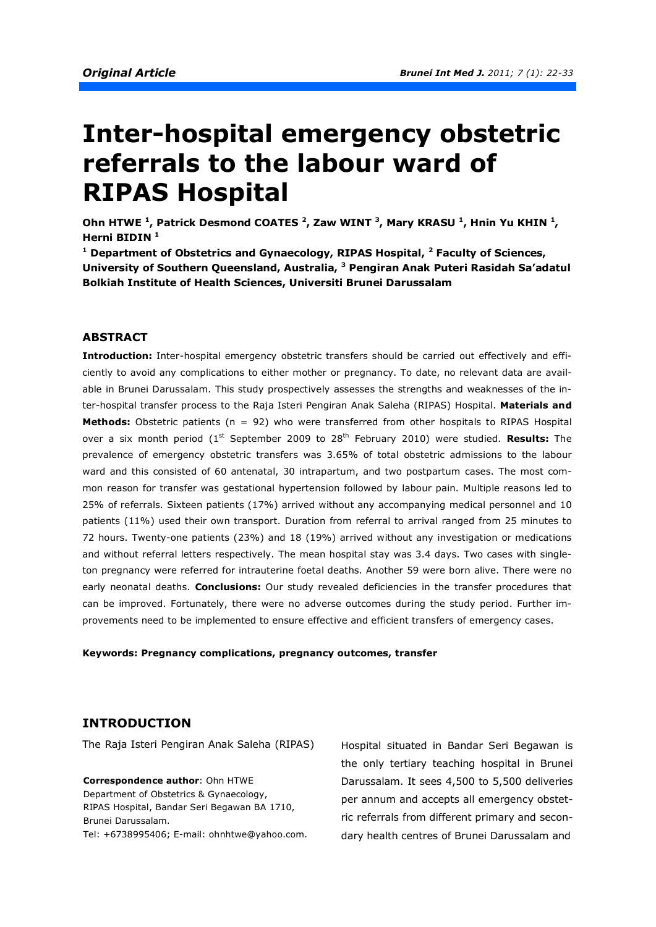# **Inter-hospital emergency obstetric referrals to the labour ward of RIPAS Hospital**

Ohn HTWE <sup>1</sup>, Patrick Desmond COATES <sup>2</sup>, Zaw WINT <sup>3</sup>, Mary KRASU <sup>1</sup>, Hnin Yu KHIN <sup>1</sup>, **Herni BIDIN <sup>1</sup>**

<sup>1</sup> Department of Obstetrics and Gynaecology, RIPAS Hospital, <sup>2</sup> Faculty of Sciences, **University of Southern Queensland, Australia, <sup>3</sup> Pengiran Anak Puteri Rasidah Sa'adatul Bolkiah Institute of Health Sciences, Universiti Brunei Darussalam**

# **ABSTRACT**

**Introduction:** Inter-hospital emergency obstetric transfers should be carried out effectively and efficiently to avoid any complications to either mother or pregnancy. To date, no relevant data are available in Brunei Darussalam. This study prospectively assesses the strengths and weaknesses of the inter-hospital transfer process to the Raja Isteri Pengiran Anak Saleha (RIPAS) Hospital. **Materials and Methods:** Obstetric patients (n = 92) who were transferred from other hospitals to RIPAS Hospital over a six month period (1<sup>st</sup> September 2009 to 28<sup>th</sup> February 2010) were studied. **Results:** The prevalence of emergency obstetric transfers was 3.65% of total obstetric admissions to the labour ward and this consisted of 60 antenatal, 30 intrapartum, and two postpartum cases. The most common reason for transfer was gestational hypertension followed by labour pain. Multiple reasons led to 25% of referrals. Sixteen patients (17%) arrived without any accompanying medical personnel and 10 patients (11%) used their own transport. Duration from referral to arrival ranged from 25 minutes to 72 hours. Twenty-one patients (23%) and 18 (19%) arrived without any investigation or medications and without referral letters respectively. The mean hospital stay was 3.4 days. Two cases with singleton pregnancy were referred for intrauterine foetal deaths. Another 59 were born alive. There were no early neonatal deaths. **Conclusions:** Our study revealed deficiencies in the transfer procedures that can be improved. Fortunately, there were no adverse outcomes during the study period. Further improvements need to be implemented to ensure effective and efficient transfers of emergency cases.

**Keywords: Pregnancy complications, pregnancy outcomes, transfer** 

# **INTRODUCTION**

The Raja Isteri Pengiran Anak Saleha (RIPAS) Hospital situated in Bandar Seri Begawan is

**Correspondence author**: Ohn HTWE Department of Obstetrics & Gynaecology, RIPAS Hospital, Bandar Seri Begawan BA 1710, Brunei Darussalam. Tel: +6738995406; E-mail: ohnhtwe@yahoo.com.

the only tertiary teaching hospital in Brunei Darussalam. It sees 4,500 to 5,500 deliveries per annum and accepts all emergency obstetric referrals from different primary and secondary health centres of Brunei Darussalam and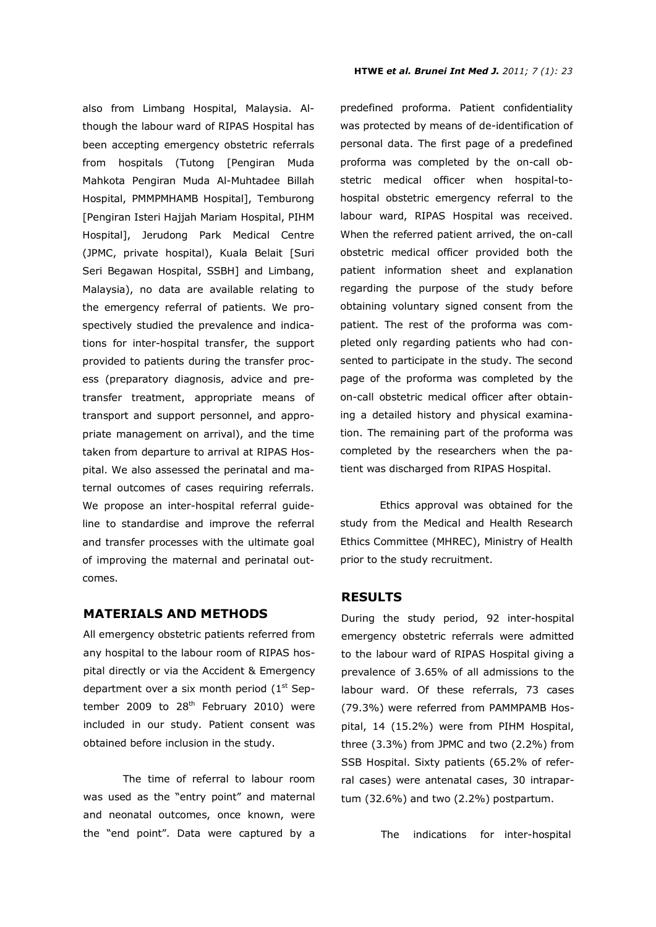also from Limbang Hospital, Malaysia. Although the labour ward of RIPAS Hospital has been accepting emergency obstetric referrals from hospitals (Tutong [Pengiran Muda Mahkota Pengiran Muda Al-Muhtadee Billah Hospital, PMMPMHAMB Hospital], Temburong [Pengiran Isteri Hajjah Mariam Hospital, PIHM Hospital], Jerudong Park Medical Centre (JPMC, private hospital), Kuala Belait [Suri Seri Begawan Hospital, SSBH] and Limbang, Malaysia), no data are available relating to the emergency referral of patients. We prospectively studied the prevalence and indications for inter-hospital transfer, the support provided to patients during the transfer process (preparatory diagnosis, advice and pretransfer treatment, appropriate means of transport and support personnel, and appropriate management on arrival), and the time taken from departure to arrival at RIPAS Hospital. We also assessed the perinatal and maternal outcomes of cases requiring referrals. We propose an inter-hospital referral guideline to standardise and improve the referral and transfer processes with the ultimate goal of improving the maternal and perinatal outcomes.

# **MATERIALS AND METHODS**

All emergency obstetric patients referred from any hospital to the labour room of RIPAS hospital directly or via the Accident & Emergency department over a six month period  $(1<sup>st</sup>$  September 2009 to  $28<sup>th</sup>$  February 2010) were included in our study. Patient consent was obtained before inclusion in the study.

The time of referral to labour room was used as the "entry point" and maternal and neonatal outcomes, once known, were the "end point". Data were captured by a

predefined proforma. Patient confidentiality was protected by means of de-identification of personal data. The first page of a predefined proforma was completed by the on-call obstetric medical officer when hospital-tohospital obstetric emergency referral to the labour ward, RIPAS Hospital was received. When the referred patient arrived, the on-call obstetric medical officer provided both the patient information sheet and explanation regarding the purpose of the study before obtaining voluntary signed consent from the patient. The rest of the proforma was completed only regarding patients who had consented to participate in the study. The second page of the proforma was completed by the on-call obstetric medical officer after obtaining a detailed history and physical examination. The remaining part of the proforma was completed by the researchers when the patient was discharged from RIPAS Hospital.

Ethics approval was obtained for the study from the Medical and Health Research Ethics Committee (MHREC), Ministry of Health prior to the study recruitment.

# **RESULTS**

During the study period, 92 inter-hospital emergency obstetric referrals were admitted to the labour ward of RIPAS Hospital giving a prevalence of 3.65% of all admissions to the labour ward. Of these referrals, 73 cases (79.3%) were referred from PAMMPAMB Hospital, 14 (15.2%) were from PIHM Hospital, three (3.3%) from JPMC and two (2.2%) from SSB Hospital. Sixty patients (65.2% of referral cases) were antenatal cases, 30 intrapartum (32.6%) and two (2.2%) postpartum.

The indications for inter-hospital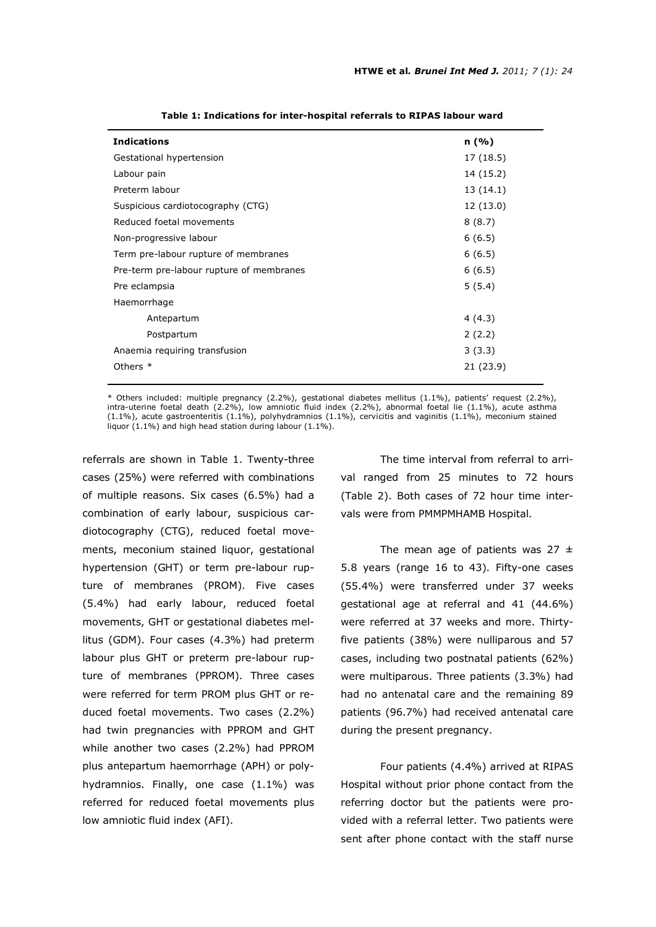| <b>Indications</b>                       | n(%)      |
|------------------------------------------|-----------|
| Gestational hypertension                 | 17 (18.5) |
| Labour pain                              | 14 (15.2) |
| Preterm labour                           | 13 (14.1) |
| Suspicious cardiotocography (CTG)        | 12 (13.0) |
| Reduced foetal movements                 | 8(8.7)    |
| Non-progressive labour                   | 6(6.5)    |
| Term pre-labour rupture of membranes     | 6(6.5)    |
| Pre-term pre-labour rupture of membranes | 6(6.5)    |
| Pre eclampsia                            | 5(5.4)    |
| Haemorrhage                              |           |
| Antepartum                               | 4(4.3)    |
| Postpartum                               | 2(2.2)    |
| Anaemia requiring transfusion            | 3(3.3)    |
| Others $*$                               | 21 (23.9) |
|                                          |           |

**Table 1: Indications for inter-hospital referrals to RIPAS labour ward** 

\* Others included: multiple pregnancy (2.2%), gestational diabetes mellitus (1.1%), patients' request (2.2%), intra-uterine foetal death (2.2%), low amniotic fluid index (2.2%), abnormal foetal lie (1.1%), acute asthma  $(1.1\%)$ , acute gastroenteritis  $(1.1\%)$ , polyhydramnios  $(1.1\%)$ , cervicitis and vaginitis  $(1.1\%)$ , meconium stained liquor (1.1%) and high head station during labour (1.1%).

referrals are shown in Table 1. Twenty-three cases (25%) were referred with combinations of multiple reasons. Six cases (6.5%) had a combination of early labour, suspicious cardiotocography (CTG), reduced foetal movements, meconium stained liquor, gestational hypertension (GHT) or term pre-labour rupture of membranes (PROM). Five cases (5.4%) had early labour, reduced foetal movements, GHT or gestational diabetes mellitus (GDM). Four cases (4.3%) had preterm labour plus GHT or preterm pre-labour rupture of membranes (PPROM). Three cases were referred for term PROM plus GHT or reduced foetal movements. Two cases (2.2%) had twin pregnancies with PPROM and GHT while another two cases (2.2%) had PPROM plus antepartum haemorrhage (APH) or polyhydramnios. Finally, one case (1.1%) was referred for reduced foetal movements plus low amniotic fluid index (AFI).

 The time interval from referral to arrival ranged from 25 minutes to 72 hours (Table 2). Both cases of 72 hour time intervals were from PMMPMHAMB Hospital.

The mean age of patients was  $27 \pm$ 5.8 years (range 16 to 43). Fifty-one cases (55.4%) were transferred under 37 weeks gestational age at referral and 41 (44.6%) were referred at 37 weeks and more. Thirtyfive patients (38%) were nulliparous and 57 cases, including two postnatal patients (62%) were multiparous. Three patients (3.3%) had had no antenatal care and the remaining 89 patients (96.7%) had received antenatal care during the present pregnancy.

Four patients (4.4%) arrived at RIPAS Hospital without prior phone contact from the referring doctor but the patients were provided with a referral letter. Two patients were sent after phone contact with the staff nurse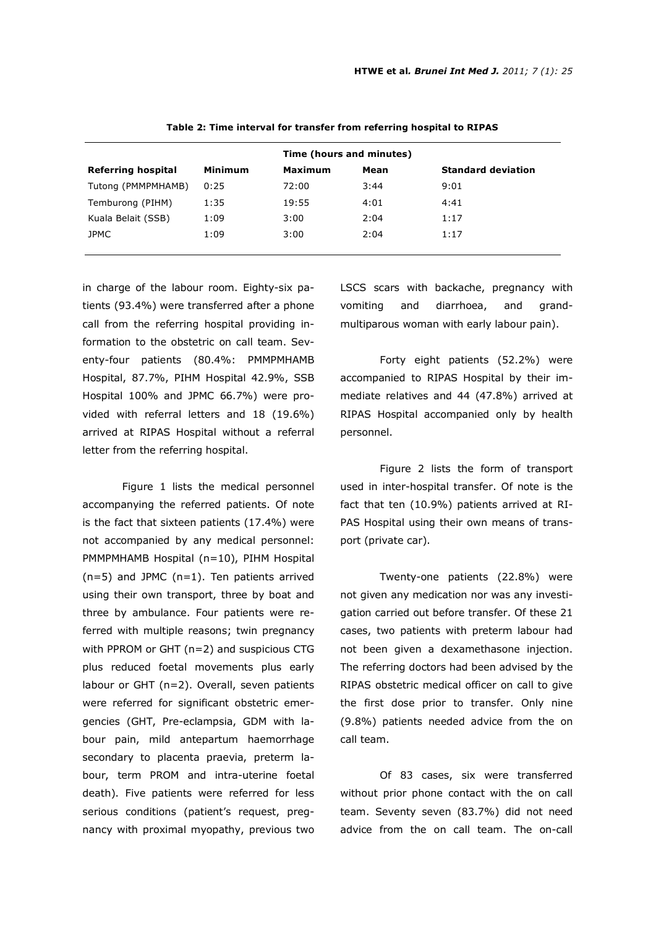|         | Time (hours and minutes) |      |                           |  |
|---------|--------------------------|------|---------------------------|--|
| Minimum | <b>Maximum</b>           | Mean | <b>Standard deviation</b> |  |
| 0:25    | 72:00                    | 3:44 | 9:01                      |  |
| 1:35    | 19:55                    | 4:01 | 4:41                      |  |
| 1:09    | 3:00                     | 2:04 | 1:17                      |  |
| 1:09    | 3:00                     | 2:04 | 1:17                      |  |
|         |                          |      |                           |  |

 **Table 2: Time interval for transfer from referring hospital to RIPAS** 

in charge of the labour room. Eighty-six patients (93.4%) were transferred after a phone call from the referring hospital providing information to the obstetric on call team. Seventy-four patients (80.4%: PMMPMHAMB Hospital, 87.7%, PIHM Hospital 42.9%, SSB Hospital 100% and JPMC 66.7%) were provided with referral letters and 18 (19.6%) arrived at RIPAS Hospital without a referral letter from the referring hospital.

Figure 1 lists the medical personnel accompanying the referred patients. Of note is the fact that sixteen patients (17.4%) were not accompanied by any medical personnel: PMMPMHAMB Hospital (n=10), PIHM Hospital (n=5) and JPMC (n=1). Ten patients arrived using their own transport, three by boat and three by ambulance. Four patients were referred with multiple reasons; twin pregnancy with PPROM or GHT (n=2) and suspicious CTG plus reduced foetal movements plus early labour or GHT (n=2). Overall, seven patients were referred for significant obstetric emergencies (GHT, Pre-eclampsia, GDM with labour pain, mild antepartum haemorrhage secondary to placenta praevia, preterm labour, term PROM and intra-uterine foetal death). Five patients were referred for less serious conditions (patient's request, pregnancy with proximal myopathy, previous two LSCS scars with backache, pregnancy with vomiting and diarrhoea, and grandmultiparous woman with early labour pain).

Forty eight patients (52.2%) were accompanied to RIPAS Hospital by their immediate relatives and 44 (47.8%) arrived at RIPAS Hospital accompanied only by health personnel.

Figure 2 lists the form of transport used in inter-hospital transfer. Of note is the fact that ten (10.9%) patients arrived at RI-PAS Hospital using their own means of transport (private car).

Twenty-one patients (22.8%) were not given any medication nor was any investigation carried out before transfer. Of these 21 cases, two patients with preterm labour had not been given a dexamethasone injection. The referring doctors had been advised by the RIPAS obstetric medical officer on call to give the first dose prior to transfer. Only nine (9.8%) patients needed advice from the on call team.

Of 83 cases, six were transferred without prior phone contact with the on call team. Seventy seven (83.7%) did not need advice from the on call team. The on-call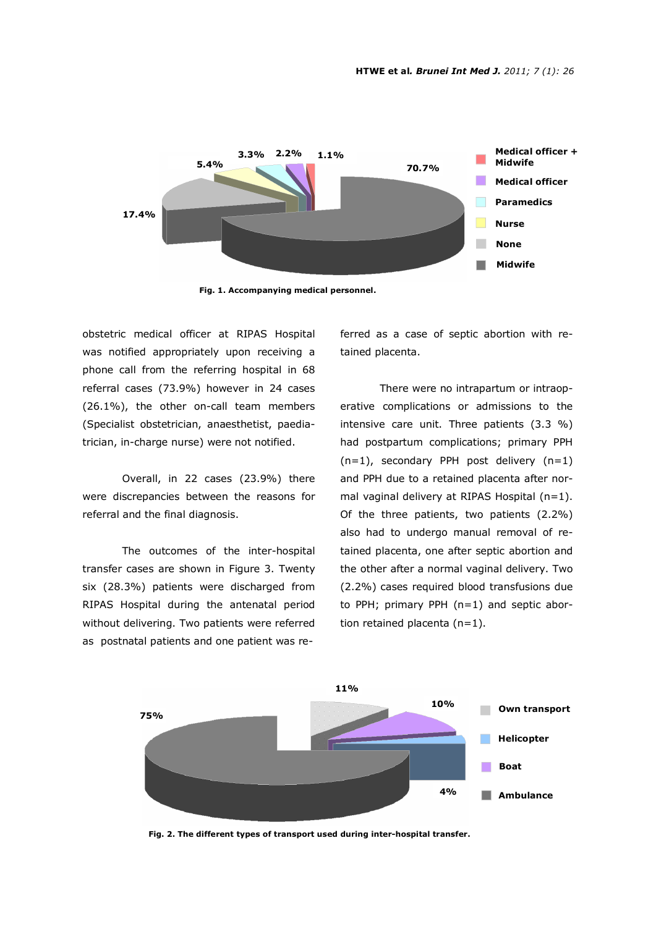

**Fig. 1. Accompanying medical personnel.** 

obstetric medical officer at RIPAS Hospital was notified appropriately upon receiving a phone call from the referring hospital in 68 referral cases (73.9%) however in 24 cases (26.1%), the other on-call team members (Specialist obstetrician, anaesthetist, paediatrician, in-charge nurse) were not notified.

Overall, in 22 cases (23.9%) there were discrepancies between the reasons for referral and the final diagnosis.

The outcomes of the inter-hospital transfer cases are shown in Figure 3. Twenty six (28.3%) patients were discharged from RIPAS Hospital during the antenatal period without delivering. Two patients were referred as postnatal patients and one patient was referred as a case of septic abortion with retained placenta.

There were no intrapartum or intraoperative complications or admissions to the intensive care unit. Three patients (3.3 %) had postpartum complications; primary PPH  $(n=1)$ , secondary PPH post delivery  $(n=1)$ and PPH due to a retained placenta after normal vaginal delivery at RIPAS Hospital (n=1). Of the three patients, two patients (2.2%) also had to undergo manual removal of retained placenta, one after septic abortion and the other after a normal vaginal delivery. Two (2.2%) cases required blood transfusions due to PPH; primary PPH (n=1) and septic abortion retained placenta  $(n=1)$ .



**Fig. 2. The different types of transport used during inter-hospital transfer.**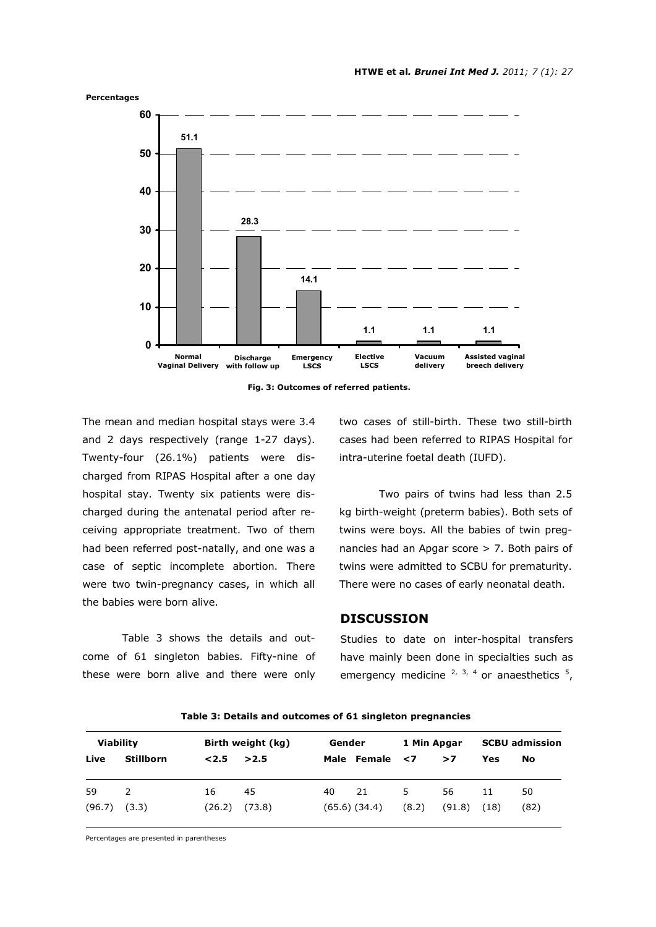

**Fig. 3: Outcomes of referred patients.** 

The mean and median hospital stays were 3.4 and 2 days respectively (range 1-27 days). Twenty-four (26.1%) patients were discharged from RIPAS Hospital after a one day hospital stay. Twenty six patients were discharged during the antenatal period after receiving appropriate treatment. Two of them had been referred post-natally, and one was a case of septic incomplete abortion. There were two twin-pregnancy cases, in which all the babies were born alive.

Table 3 shows the details and outcome of 61 singleton babies. Fifty-nine of these were born alive and there were only two cases of still-birth. These two still-birth cases had been referred to RIPAS Hospital for intra-uterine foetal death (IUFD).

Two pairs of twins had less than 2.5 kg birth-weight (preterm babies). Both sets of twins were boys. All the babies of twin pregnancies had an Apgar score > 7. Both pairs of twins were admitted to SCBU for prematurity. There were no cases of early neonatal death.

# **DISCUSSION**

Studies to date on inter-hospital transfers have mainly been done in specialties such as emergency medicine  $2, 3, 4$  or anaesthetics  $5, 5$ 

| <b>Viability</b> |                  | Birth weight (kg) |        | Gender |                   | 1 Min Apgar |        | <b>SCBU admission</b> |      |
|------------------|------------------|-------------------|--------|--------|-------------------|-------------|--------|-----------------------|------|
| Live             | <b>Stillborn</b> | 2.5               | >2.5   |        | Male Female <7    |             | >7     | Yes                   | No   |
| 59               | <sup>2</sup>     | 16                | 45     | 40     | 21                | 5.          | 56     | 11                    | 50   |
| (96.7)           | (3.3)            | (26.2)            | (73.8) |        | $(65.6)$ $(34.4)$ | (8.2)       | (91.8) | (18)                  | (82) |

**Table 3: Details and outcomes of 61 singleton pregnancies** 

Percentages are presented in parentheses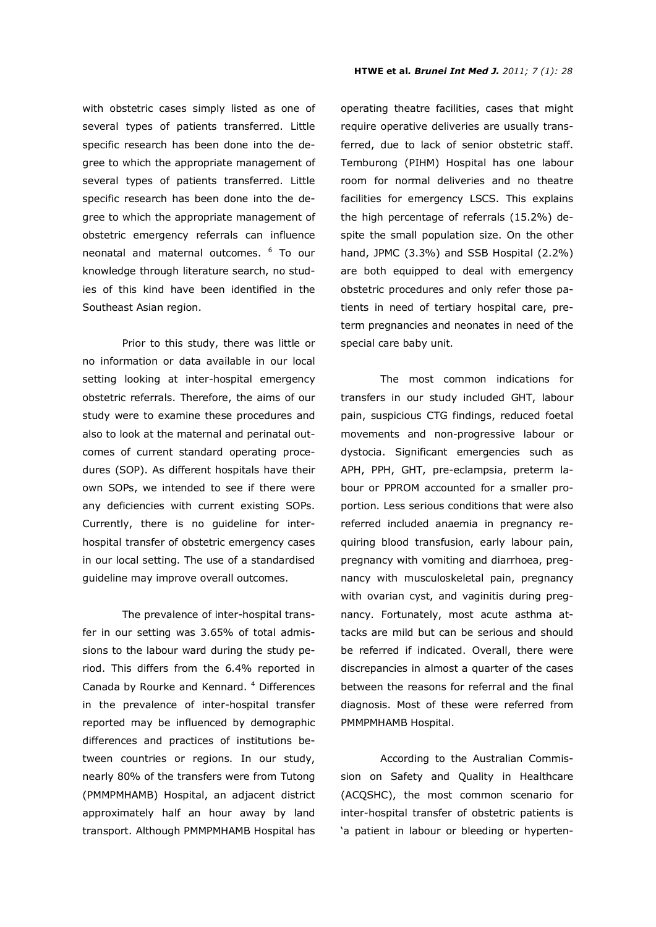with obstetric cases simply listed as one of several types of patients transferred. Little specific research has been done into the degree to which the appropriate management of several types of patients transferred. Little specific research has been done into the degree to which the appropriate management of obstetric emergency referrals can influence neonatal and maternal outcomes. <sup>6</sup> To our knowledge through literature search, no studies of this kind have been identified in the Southeast Asian region.

Prior to this study, there was little or no information or data available in our local setting looking at inter-hospital emergency obstetric referrals. Therefore, the aims of our study were to examine these procedures and also to look at the maternal and perinatal outcomes of current standard operating procedures (SOP). As different hospitals have their own SOPs, we intended to see if there were any deficiencies with current existing SOPs. Currently, there is no guideline for interhospital transfer of obstetric emergency cases in our local setting. The use of a standardised guideline may improve overall outcomes.

The prevalence of inter-hospital transfer in our setting was 3.65% of total admissions to the labour ward during the study period. This differs from the 6.4% reported in Canada by Rourke and Kennard. <sup>4</sup> Differences in the prevalence of inter-hospital transfer reported may be influenced by demographic differences and practices of institutions between countries or regions. In our study, nearly 80% of the transfers were from Tutong (PMMPMHAMB) Hospital, an adjacent district approximately half an hour away by land transport. Although PMMPMHAMB Hospital has

operating theatre facilities, cases that might require operative deliveries are usually transferred, due to lack of senior obstetric staff. Temburong (PIHM) Hospital has one labour room for normal deliveries and no theatre facilities for emergency LSCS. This explains the high percentage of referrals (15.2%) despite the small population size. On the other hand, JPMC (3.3%) and SSB Hospital (2.2%) are both equipped to deal with emergency obstetric procedures and only refer those patients in need of tertiary hospital care, preterm pregnancies and neonates in need of the special care baby unit.

 The most common indications for transfers in our study included GHT, labour pain, suspicious CTG findings, reduced foetal movements and non-progressive labour or dystocia. Significant emergencies such as APH, PPH, GHT, pre-eclampsia, preterm labour or PPROM accounted for a smaller proportion. Less serious conditions that were also referred included anaemia in pregnancy requiring blood transfusion, early labour pain, pregnancy with vomiting and diarrhoea, pregnancy with musculoskeletal pain, pregnancy with ovarian cyst, and vaginitis during pregnancy. Fortunately, most acute asthma attacks are mild but can be serious and should be referred if indicated. Overall, there were discrepancies in almost a quarter of the cases between the reasons for referral and the final diagnosis. Most of these were referred from PMMPMHAMB Hospital.

According to the Australian Commission on Safety and Quality in Healthcare (ACQSHC), the most common scenario for inter-hospital transfer of obstetric patients is 'a patient in labour or bleeding or hyperten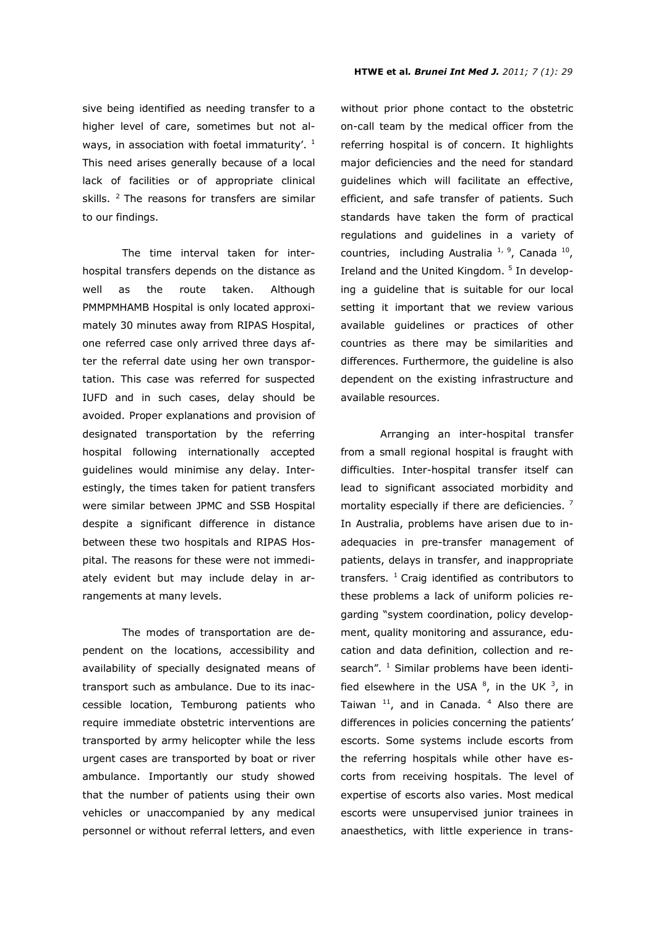sive being identified as needing transfer to a higher level of care, sometimes but not always, in association with foetal immaturity'.  $1$ This need arises generally because of a local lack of facilities or of appropriate clinical skills.  $2$  The reasons for transfers are similar to our findings.

The time interval taken for interhospital transfers depends on the distance as well as the route taken. Although PMMPMHAMB Hospital is only located approximately 30 minutes away from RIPAS Hospital, one referred case only arrived three days after the referral date using her own transportation. This case was referred for suspected IUFD and in such cases, delay should be avoided. Proper explanations and provision of designated transportation by the referring hospital following internationally accepted guidelines would minimise any delay. Interestingly, the times taken for patient transfers were similar between JPMC and SSB Hospital despite a significant difference in distance between these two hospitals and RIPAS Hospital. The reasons for these were not immediately evident but may include delay in arrangements at many levels.

The modes of transportation are dependent on the locations, accessibility and availability of specially designated means of transport such as ambulance. Due to its inaccessible location, Temburong patients who require immediate obstetric interventions are transported by army helicopter while the less urgent cases are transported by boat or river ambulance. Importantly our study showed that the number of patients using their own vehicles or unaccompanied by any medical personnel or without referral letters, and even

without prior phone contact to the obstetric on-call team by the medical officer from the referring hospital is of concern. It highlights major deficiencies and the need for standard guidelines which will facilitate an effective, efficient, and safe transfer of patients. Such standards have taken the form of practical regulations and guidelines in a variety of countries, including Australia<sup>1, 9</sup>, Canada<sup>10</sup>, Ireland and the United Kingdom.<sup>5</sup> In developing a guideline that is suitable for our local setting it important that we review various available guidelines or practices of other countries as there may be similarities and differences. Furthermore, the guideline is also dependent on the existing infrastructure and available resources.

Arranging an inter-hospital transfer from a small regional hospital is fraught with difficulties. Inter-hospital transfer itself can lead to significant associated morbidity and mortality especially if there are deficiencies.  $<sup>7</sup>$ </sup> In Australia, problems have arisen due to inadequacies in pre-transfer management of patients, delays in transfer, and inappropriate transfers.  $1$  Craig identified as contributors to these problems a lack of uniform policies regarding "system coordination, policy development, quality monitoring and assurance, education and data definition, collection and research". <sup>1</sup> Similar problems have been identified elsewhere in the USA  $^{8}$ , in the UK  $^{3}$ , in Taiwan  $11$ , and in Canada.  $4$  Also there are differences in policies concerning the patients' escorts. Some systems include escorts from the referring hospitals while other have escorts from receiving hospitals. The level of expertise of escorts also varies. Most medical escorts were unsupervised junior trainees in anaesthetics, with little experience in trans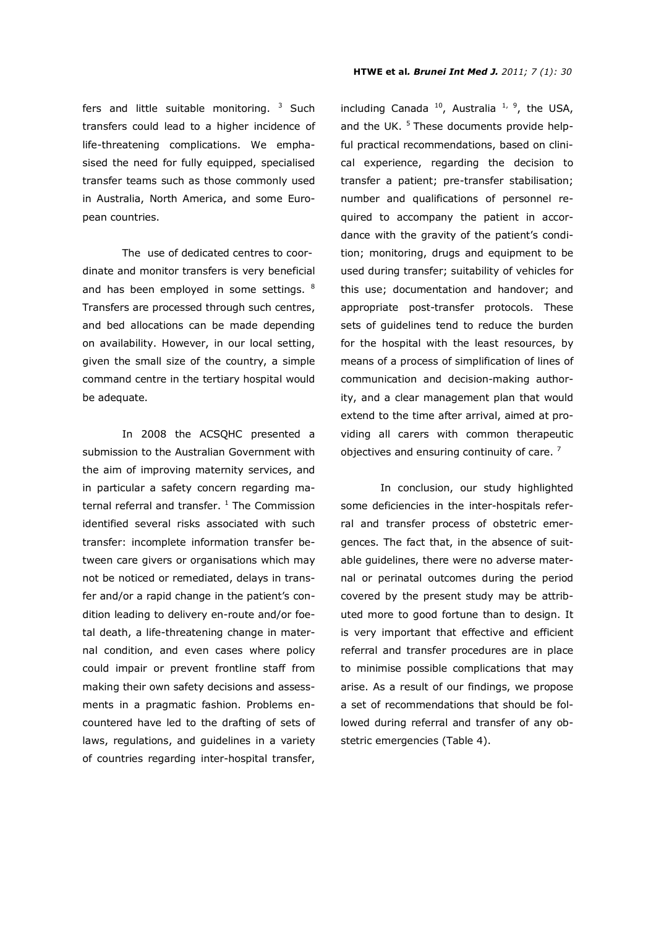fers and little suitable monitoring.  $3$  Such transfers could lead to a higher incidence of life-threatening complications. We emphasised the need for fully equipped, specialised transfer teams such as those commonly used in Australia, North America, and some European countries.

The use of dedicated centres to coordinate and monitor transfers is very beneficial and has been employed in some settings. <sup>8</sup> Transfers are processed through such centres, and bed allocations can be made depending on availability. However, in our local setting, given the small size of the country, a simple command centre in the tertiary hospital would be adequate.

 In 2008 the ACSQHC presented a submission to the Australian Government with the aim of improving maternity services, and in particular a safety concern regarding maternal referral and transfer.  $^1$  The Commission identified several risks associated with such transfer: incomplete information transfer between care givers or organisations which may not be noticed or remediated, delays in transfer and/or a rapid change in the patient's condition leading to delivery en-route and/or foetal death, a life-threatening change in maternal condition, and even cases where policy could impair or prevent frontline staff from making their own safety decisions and assessments in a pragmatic fashion. Problems encountered have led to the drafting of sets of laws, regulations, and guidelines in a variety of countries regarding inter-hospital transfer,

including Canada  $^{10}$ , Australia  $^{1, 9}$ , the USA, and the UK.  $5$  These documents provide helpful practical recommendations, based on clinical experience, regarding the decision to transfer a patient; pre-transfer stabilisation; number and qualifications of personnel required to accompany the patient in accordance with the gravity of the patient's condition; monitoring, drugs and equipment to be used during transfer; suitability of vehicles for this use; documentation and handover; and appropriate post-transfer protocols. These sets of guidelines tend to reduce the burden for the hospital with the least resources, by means of a process of simplification of lines of communication and decision-making authority, and a clear management plan that would extend to the time after arrival, aimed at providing all carers with common therapeutic objectives and ensuring continuity of care.<sup>7</sup>

 In conclusion, our study highlighted some deficiencies in the inter-hospitals referral and transfer process of obstetric emergences. The fact that, in the absence of suitable guidelines, there were no adverse maternal or perinatal outcomes during the period covered by the present study may be attributed more to good fortune than to design. It is very important that effective and efficient referral and transfer procedures are in place to minimise possible complications that may arise. As a result of our findings, we propose a set of recommendations that should be followed during referral and transfer of any obstetric emergencies (Table 4).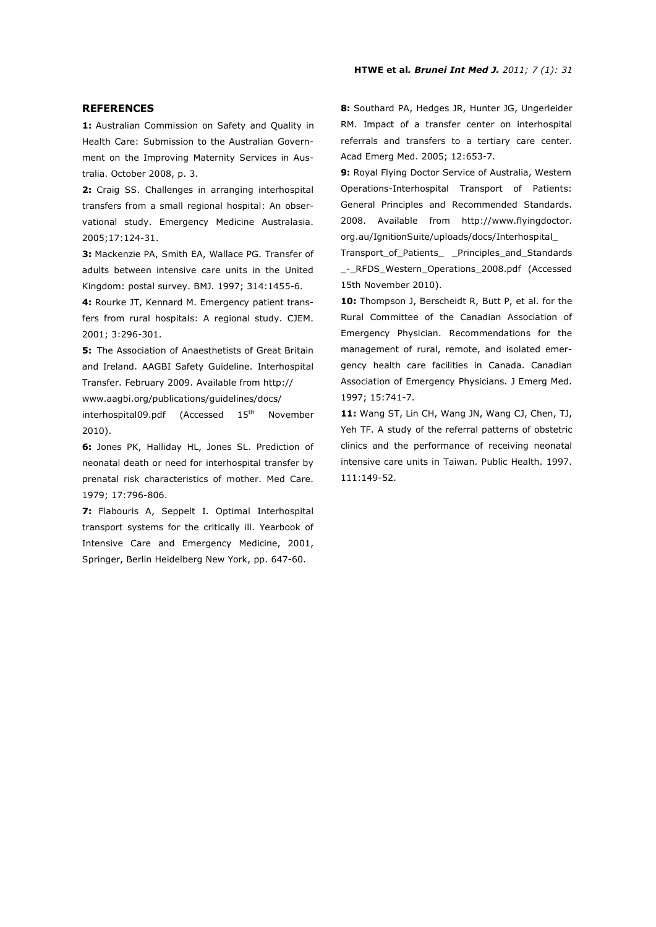## **REFERENCES**

**1:** Australian Commission on Safety and Quality in Health Care: Submission to the Australian Government on the Improving Maternity Services in Australia. October 2008, p. 3.

**2:** Craig SS. Challenges in arranging interhospital transfers from a small regional hospital: An observational study. Emergency Medicine Australasia. 2005;17:124-31.

**3:** Mackenzie PA, Smith EA, Wallace PG. Transfer of adults between intensive care units in the United Kingdom: postal survey. BMJ. 1997; 314:1455-6.

**4:** Rourke JT, Kennard M. Emergency patient transfers from rural hospitals: A regional study. CJEM. 2001; 3:296-301.

**5:** The Association of Anaesthetists of Great Britain and Ireland. AAGBI Safety Guideline. Interhospital Transfer. February 2009. Available from http://

www.aagbi.org/publications/guidelines/docs/

interhospital09.pdf (Accessed 15<sup>th</sup> November 2010).

**6:** Jones PK, Halliday HL, Jones SL. Prediction of neonatal death or need for interhospital transfer by prenatal risk characteristics of mother. Med Care. 1979; 17:796-806.

**7:** Flabouris A, Seppelt I. Optimal Interhospital transport systems for the critically ill. Yearbook of Intensive Care and Emergency Medicine, 2001, Springer, Berlin Heidelberg New York, pp. 647-60.

**8:** Southard PA, Hedges JR, Hunter JG, Ungerleider RM. Impact of a transfer center on interhospital referrals and transfers to a tertiary care center. Acad Emerg Med. 2005; 12:653-7.

**9:** Royal Flying Doctor Service of Australia, Western Operations-Interhospital Transport of Patients: General Principles and Recommended Standards. 2008. Available from http://www.flyingdoctor. org.au/IgnitionSuite/uploads/docs/Interhospital\_

Transport\_of\_Patients\_ \_Principles\_and\_Standards \_-\_RFDS\_Western\_Operations\_2008.pdf (Accessed 15th November 2010).

**10:** Thompson J, Berscheidt R, Butt P, et al. for the Rural Committee of the Canadian Association of Emergency Physician. Recommendations for the management of rural, remote, and isolated emergency health care facilities in Canada. Canadian Association of Emergency Physicians. J Emerg Med. 1997; 15:741-7.

**11:** Wang ST, Lin CH, Wang JN, Wang CJ, Chen, TJ, Yeh TF. A study of the referral patterns of obstetric clinics and the performance of receiving neonatal intensive care units in Taiwan. Public Health. 1997. 111:149-52.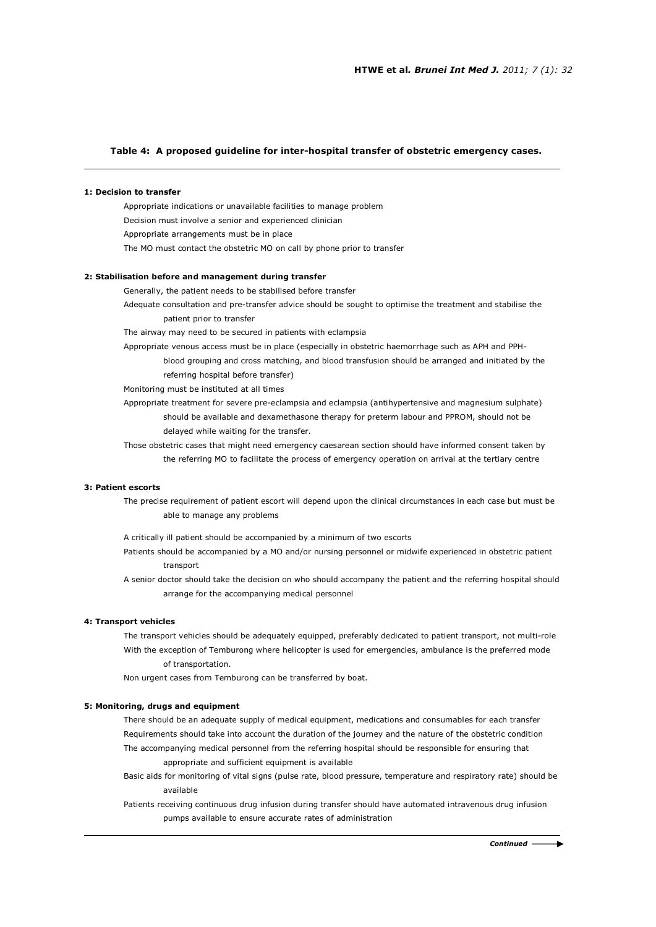# **Table 4: A proposed guideline for inter-hospital transfer of obstetric emergency cases.**

#### **1: Decision to transfer**

Appropriate indications or unavailable facilities to manage problem Decision must involve a senior and experienced clinician Appropriate arrangements must be in place The MO must contact the obstetric MO on call by phone prior to transfer

#### **2: Stabilisation before and management during transfer**

Generally, the patient needs to be stabilised before transfer

Adequate consultation and pre-transfer advice should be sought to optimise the treatment and stabilise the patient prior to transfer

The airway may need to be secured in patients with eclampsia

Appropriate venous access must be in place (especially in obstetric haemorrhage such as APH and PPH-

 blood grouping and cross matching, and blood transfusion should be arranged and initiated by the referring hospital before transfer)

Monitoring must be instituted at all times

Appropriate treatment for severe pre-eclampsia and eclampsia (antihypertensive and magnesium sulphate) should be available and dexamethasone therapy for preterm labour and PPROM, should not be delayed while waiting for the transfer.

 Those obstetric cases that might need emergency caesarean section should have informed consent taken by the referring MO to facilitate the process of emergency operation on arrival at the tertiary centre

### **3: Patient escorts**

The precise requirement of patient escort will depend upon the clinical circumstances in each case but must be able to manage any problems

A critically ill patient should be accompanied by a minimum of two escorts

Patients should be accompanied by a MO and/or nursing personnel or midwife experienced in obstetric patient transport

A senior doctor should take the decision on who should accompany the patient and the referring hospital should arrange for the accompanying medical personnel

## **4: Transport vehicles**

The transport vehicles should be adequately equipped, preferably dedicated to patient transport, not multi-role With the exception of Temburong where helicopter is used for emergencies, ambulance is the preferred mode of transportation.

Non urgent cases from Temburong can be transferred by boat.

#### **5: Monitoring, drugs and equipment**

There should be an adequate supply of medical equipment, medications and consumables for each transfer Requirements should take into account the duration of the journey and the nature of the obstetric condition The accompanying medical personnel from the referring hospital should be responsible for ensuring that appropriate and sufficient equipment is available

Basic aids for monitoring of vital signs (pulse rate, blood pressure, temperature and respiratory rate) should be available

Patients receiving continuous drug infusion during transfer should have automated intravenous drug infusion pumps available to ensure accurate rates of administration